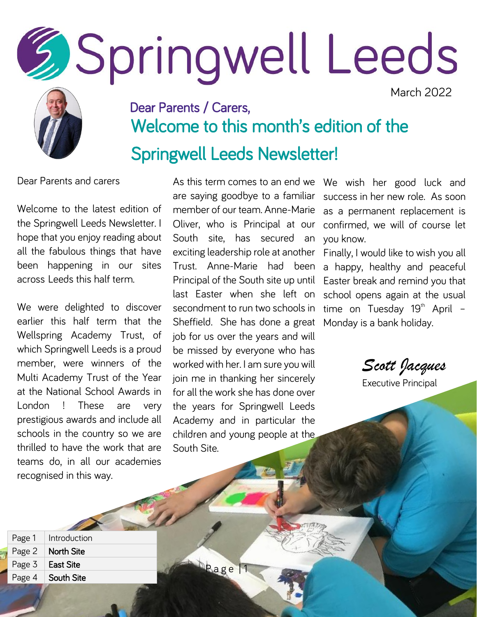# **SSpringwell Leeds**

March 2022



#### Dear Parents / Carers, Welcome to this month's edition of the Springwell Leeds Newsletter!

Dear Parents and carers

Welcome to the latest edition of the Springwell Leeds Newsletter. I hope that you enjoy reading about all the fabulous things that have been happening in our sites across Leeds this half term.

We were delighted to discover earlier this half term that the Wellspring Academy Trust, of which Springwell Leeds is a proud member, were winners of the Multi Academy Trust of the Year at the National School Awards in London ! These are very prestigious awards and include all schools in the country so we are thrilled to have the work that are teams do, in all our academies recognised in this way.

As this term comes to an end we are saying goodbye to a familiar member of our team. Anne-Marie Oliver, who is Principal at our South site, has secured an exciting leadership role at another Trust. Anne-Marie had been Principal of the South site up until last Easter when she left on secondment to run two schools in Sheffield. She has done a great job for us over the years and will be missed by everyone who has worked with her. I am sure you will join me in thanking her sincerely for all the work she has done over the years for Springwell Leeds Academy and in particular the children and young people at the South Site.

Page<sup>1</sup>

We wish her good luck and success in her new role. As soon as a permanent replacement is confirmed, we will of course let you know.

Finally, I would like to wish you all a happy, healthy and peaceful Easter break and remind you that school opens again at the usual time on Tuesday  $19<sup>th</sup>$  April -Monday is a bank holiday.

*Scott Jacques*

| Page 1 | Introduction      |
|--------|-------------------|
| Page 2 | <b>North Site</b> |
| Page 3 | <b>East Site</b>  |
| Page 4 | South Site        |

Executive Principal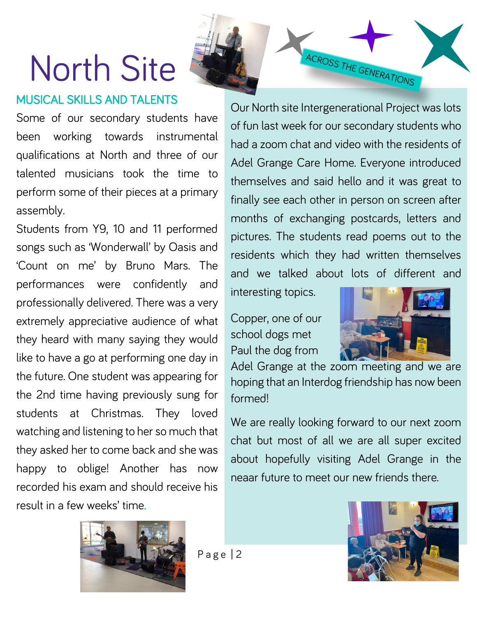## North Site

#### MUSICAL SKILLS AND TALENTS

ACROSS THE GENERATIONS

Some of our secondary students have been working towards instrumental qualifications at North and three of our talented musicians took the time to perform some of their pieces at a primary assembly.

Students from Y9, 10 and 11 performed songs such as 'Wonderwall' by Oasis and 'Count on me' by Bruno Mars. The performances were confidently and professionally delivered. There was a very extremely appreciative audience of what they heard with many saying they would like to have a go at performing one day in the future. One student was appearing for the 2nd time having previously sung for students at Christmas. They loved watching and listening to her so much that they asked her to come back and she was happy to oblige! Another has now recorded his exam and should receive his result in a few weeks' time.

Our North site Intergenerational Project was lots of fun last week for our secondary students who had a zoom chat and video with the residents of Adel Grange Care Home. Everyone introduced themselves and said hello and it was great to finally see each other in person on screen after months of exchanging postcards, letters and pictures. The students read poems out to the residents which they had written themselves and we talked about lots of different and

interesting topics.

Copper, one of our school dogs met Paul the dog from



Adel Grange at the zoom meeting and we are hoping that an Interdog friendship has now been formed!

We are really looking forward to our next zoom chat but most of all we are all super excited about hopefully visiting Adel Grange in the neaar future to meet our new friends there.



Page  $|2$ 

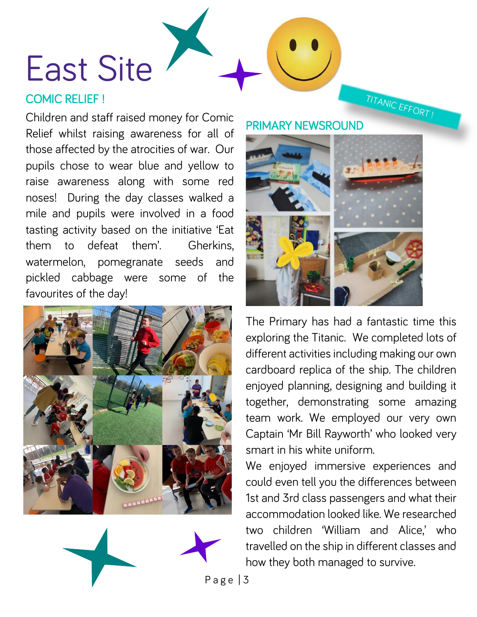### East Site

#### COMIC RELIEF !

Children and staff raised money for Comic Relief whilst raising awareness for all of those affected by the atrocities of war. Our pupils chose to wear blue and yellow to raise awareness along with some red noses! During the day classes walked a mile and pupils were involved in a food tasting activity based on the initiative 'Eat them to defeat them'. Gherkins, watermelon, pomegranate seeds and pickled cabbage were some of the favourites of the day!



#### PRIMARY NEWSROUND



TITANIC EFFORT!

The Primary has had a fantastic time this exploring the Titanic. We completed lots of different activities including making our own cardboard replica of the ship. The children enjoyed planning, designing and building it together, demonstrating some amazing team work. We employed our very own Captain 'Mr Bill Rayworth' who looked very smart in his white uniform.

We enjoyed immersive experiences and could even tell you the differences between 1st and 3rd class passengers and what their accommodation looked like. We researched two children 'William and Alice,' who travelled on the ship in different classes and how they both managed to survive.

Page  $|3$